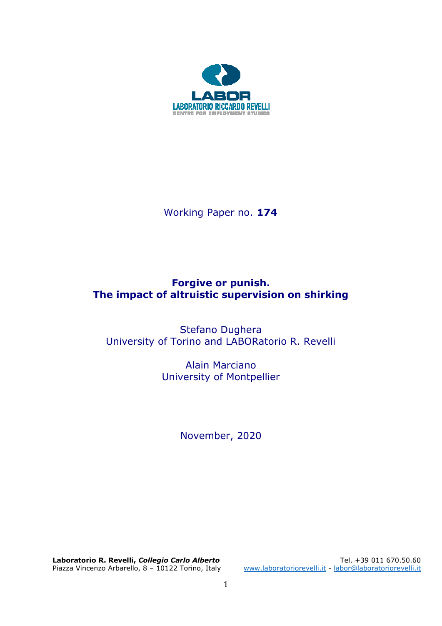

Working Paper no. **174** 

# **Forgive or punish. The impact of altruistic supervision on shirking**

Stefano Dughera University of Torino and LABORatorio R. Revelli

> Alain Marciano University of Montpellier

> > November, 2020

**Laboratorio R. Revelli, Collegio Carlo Alberto**<br>Piazza Vincenzo Arbarello, 8 – 10122 Torino, Italy mww.laboratoriorevelli.it - labor@laboratoriorevelli.it

[www.laboratoriorevelli.it](http://www.laboratoriorevelli.it/) - [labor@laboratoriorevelli.it](mailto:labor@laboratoriorevelli.it)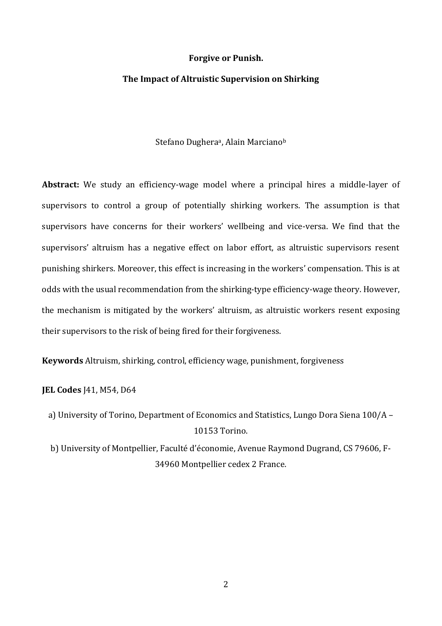#### **Forgive or Punish.**

#### **The Impact of Altruistic Supervision on Shirking**

Stefano Dughera<sup>a</sup>, Alain Marciano<sup>b</sup>

**Abstract:** We study an efficiency-wage model where a principal hires a middle-layer of supervisors to control a group of potentially shirking workers. The assumption is that supervisors have concerns for their workers' wellbeing and vice-versa. We find that the supervisors' altruism has a negative effect on labor effort, as altruistic supervisors resent punishing shirkers. Moreover, this effect is increasing in the workers' compensation. This is at odds with the usual recommendation from the shirking-type efficiency-wage theory. However, the mechanism is mitigated by the workers' altruism, as altruistic workers resent exposing their supervisors to the risk of being fired for their forgiveness.

**Keywords** Altruism, shirking, control, efficiency wage, punishment, forgiveness

**JEL Codes** J41, M54, D64

a) University of Torino, Department of Economics and Statistics, Lungo Dora Siena 100/A – 10153 Torino.

b) University of Montpellier, Faculté d'économie, Avenue Raymond Dugrand, CS 79606, F-34960 Montpellier cedex 2 France.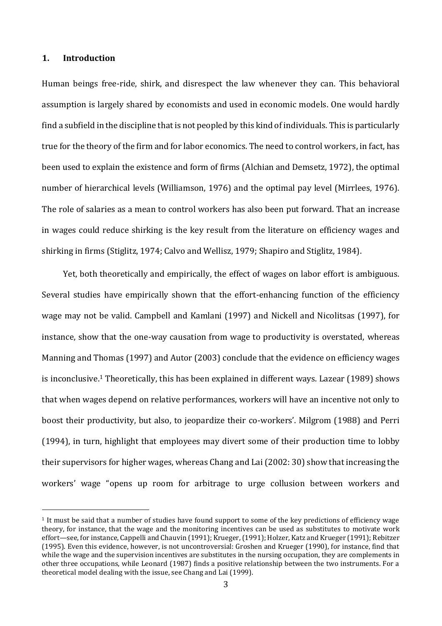#### **1. Introduction**

Human beings free-ride, shirk, and disrespect the law whenever they can. This behavioral assumption is largely shared by economists and used in economic models. One would hardly find a subfield in the discipline that is not peopled by this kind of individuals. This is particularly true for the theory of the firm and for labor economics. The need to control workers, in fact, has been used to explain the existence and form of firms (Alchian and Demsetz, 1972), the optimal number of hierarchical levels (Williamson, 1976) and the optimal pay level (Mirrlees, 1976). The role of salaries as a mean to control workers has also been put forward. That an increase in wages could reduce shirking is the key result from the literature on efficiency wages and shirking in firms (Stiglitz, 1974; Calvo and Wellisz, 1979; Shapiro and Stiglitz, 1984).

Yet, both theoretically and empirically, the effect of wages on labor effort is ambiguous. Several studies have empirically shown that the effort-enhancing function of the efficiency wage may not be valid. Campbell and Kamlani (1997) and Nickell and Nicolitsas (1997), for instance, show that the one-way causation from wage to productivity is overstated, whereas Manning and Thomas (1997) and Autor (2003) conclude that the evidence on efficiency wages is inconclusive.<sup>1</sup> Theoretically, this has been explained in different ways. Lazear (1989) shows that when wages depend on relative performances, workers will have an incentive not only to boost their productivity, but also, to jeopardize their co-workers'. Milgrom (1988) and Perri (1994), in turn, highlight that employees may divert some of their production time to lobby their supervisors for higher wages, whereas Chang and Lai (2002: 30) show that increasing the workers' wage "opens up room for arbitrage to urge collusion between workers and

<sup>1</sup> It must be said that a number of studies have found support to some of the key predictions of efficiency wage theory, for instance, that the wage and the monitoring incentives can be used as substitutes to motivate work effort—see, for instance, Cappelli and Chauvin (1991); Krueger, (1991); Holzer, Katz and Krueger (1991); Rebitzer (1995). Even this evidence, however, is not uncontroversial: Groshen and Krueger (1990), for instance, find that while the wage and the supervision incentives are substitutes in the nursing occupation, they are complements in other three occupations, while Leonard (1987) finds a positive relationship between the two instruments. For a theoretical model dealing with the issue, see Chang and Lai (1999).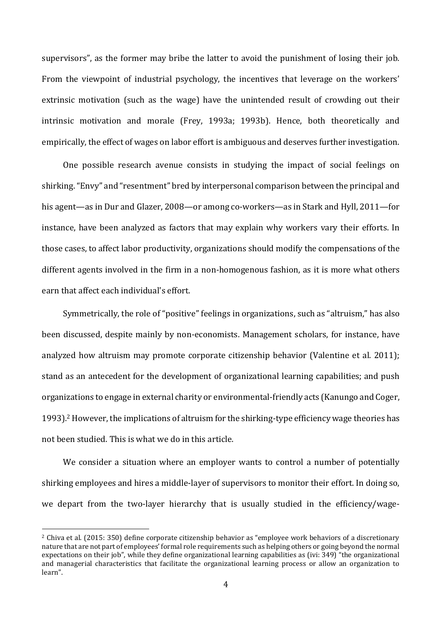supervisors", as the former may bribe the latter to avoid the punishment of losing their job. From the viewpoint of industrial psychology, the incentives that leverage on the workers' extrinsic motivation (such as the wage) have the unintended result of crowding out their intrinsic motivation and morale (Frey, 1993a; 1993b). Hence, both theoretically and empirically, the effect of wages on labor effort is ambiguous and deserves further investigation.

One possible research avenue consists in studying the impact of social feelings on shirking. "Envy" and "resentment" bred by interpersonal comparison between the principal and his agent—as in Dur and Glazer, 2008—or among co-workers—as in Stark and Hyll, 2011—for instance, have been analyzed as factors that may explain why workers vary their efforts. In those cases, to affect labor productivity, organizations should modify the compensations of the different agents involved in the firm in a non-homogenous fashion, as it is more what others earn that affect each individual's effort.

Symmetrically, the role of "positive" feelings in organizations, such as "altruism," has also been discussed, despite mainly by non-economists. Management scholars, for instance, have analyzed how altruism may promote corporate citizenship behavior (Valentine et al. 2011); stand as an antecedent for the development of organizational learning capabilities; and push organizations to engage in external charity or environmental-friendly acts (Kanungo and Coger, 1993).<sup>2</sup> However, the implications of altruism for the shirking-type efficiency wage theories has not been studied. This is what we do in this article.

We consider a situation where an employer wants to control a number of potentially shirking employees and hires a middle-layer of supervisors to monitor their effort. In doing so, we depart from the two-layer hierarchy that is usually studied in the efficiency/wage-

<sup>2</sup> Chiva et al. (2015: 350) define corporate citizenship behavior as "employee work behaviors of a discretionary nature that are not part of employees' formal role requirements such as helping others or going beyond the normal expectations on their job", while they define organizational learning capabilities as (ivi: 349) "the organizational and managerial characteristics that facilitate the organizational learning process or allow an organization to learn".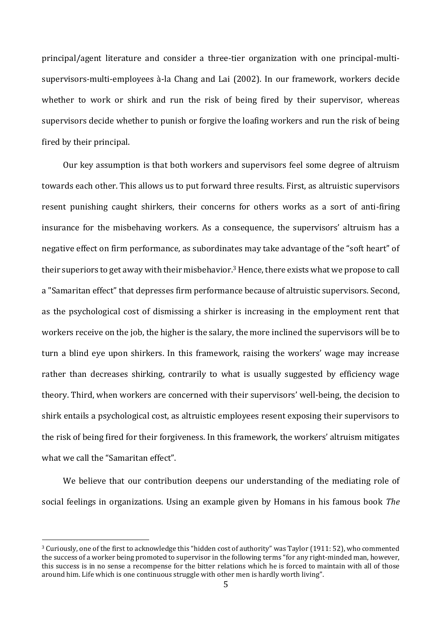principal/agent literature and consider a three-tier organization with one principal-multisupervisors-multi-employees à-la Chang and Lai (2002). In our framework, workers decide whether to work or shirk and run the risk of being fired by their supervisor, whereas supervisors decide whether to punish or forgive the loafing workers and run the risk of being fired by their principal.

Our key assumption is that both workers and supervisors feel some degree of altruism towards each other. This allows us to put forward three results. First, as altruistic supervisors resent punishing caught shirkers, their concerns for others works as a sort of anti-firing insurance for the misbehaving workers. As a consequence, the supervisors' altruism has a negative effect on firm performance, as subordinates may take advantage of the "soft heart" of their superiors to get away with their misbehavior.<sup>3</sup> Hence, there exists what we propose to call a "Samaritan effect" that depresses firm performance because of altruistic supervisors. Second, as the psychological cost of dismissing a shirker is increasing in the employment rent that workers receive on the job, the higher is the salary, the more inclined the supervisors will be to turn a blind eye upon shirkers. In this framework, raising the workers' wage may increase rather than decreases shirking, contrarily to what is usually suggested by efficiency wage theory. Third, when workers are concerned with their supervisors' well-being, the decision to shirk entails a psychological cost, as altruistic employees resent exposing their supervisors to the risk of being fired for their forgiveness. In this framework, the workers' altruism mitigates what we call the "Samaritan effect".

We believe that our contribution deepens our understanding of the mediating role of social feelings in organizations. Using an example given by Homans in his famous book *The* 

<sup>3</sup> Curiously, one of the first to acknowledge this "hidden cost of authority" was Taylor (1911: 52), who commented the success of a worker being promoted to supervisor in the following terms "for any right-minded man, however, this success is in no sense a recompense for the bitter relations which he is forced to maintain with all of those around him. Life which is one continuous struggle with other men is hardly worth living".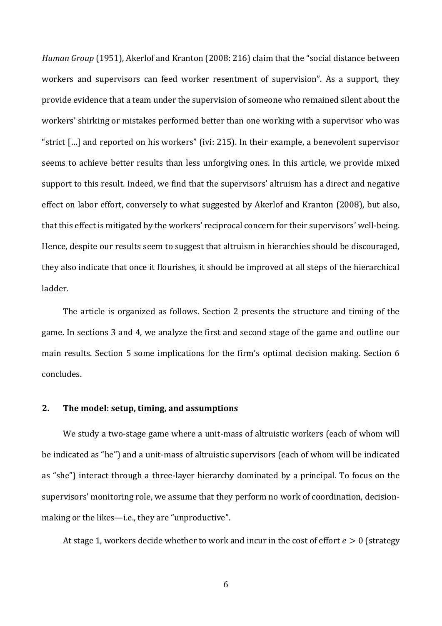*Human Group* (1951), Akerlof and Kranton (2008: 216) claim that the "social distance between workers and supervisors can feed worker resentment of supervision". As a support, they provide evidence that a team under the supervision of someone who remained silent about the workers' shirking or mistakes performed better than one working with a supervisor who was "strict […] and reported on his workers" (ivi: 215). In their example, a benevolent supervisor seems to achieve better results than less unforgiving ones. In this article, we provide mixed support to this result. Indeed, we find that the supervisors' altruism has a direct and negative effect on labor effort, conversely to what suggested by Akerlof and Kranton (2008), but also, that this effect is mitigated by the workers' reciprocal concern for their supervisors' well-being. Hence, despite our results seem to suggest that altruism in hierarchies should be discouraged, they also indicate that once it flourishes, it should be improved at all steps of the hierarchical ladder.

The article is organized as follows. Section 2 presents the structure and timing of the game. In sections 3 and 4, we analyze the first and second stage of the game and outline our main results. Section 5 some implications for the firm's optimal decision making. Section 6 concludes.

# **2. The model: setup, timing, and assumptions**

We study a two-stage game where a unit-mass of altruistic workers (each of whom will be indicated as "he") and a unit-mass of altruistic supervisors (each of whom will be indicated as "she") interact through a three-layer hierarchy dominated by a principal. To focus on the supervisors' monitoring role, we assume that they perform no work of coordination, decisionmaking or the likes—i.e., they are "unproductive".

At stage 1, workers decide whether to work and incur in the cost of effort  $e > 0$  (strategy

6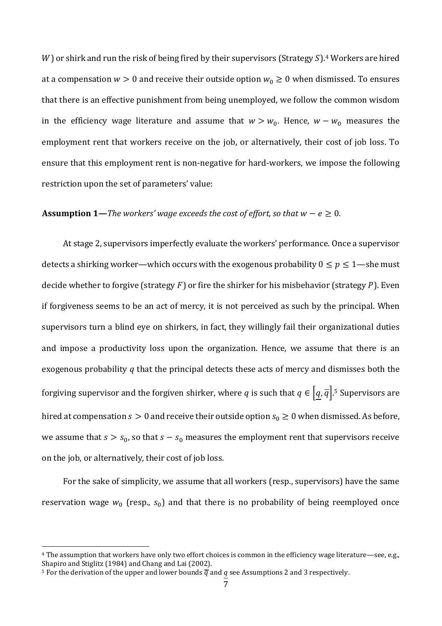$W$ ) or shirk and run the risk of being fired by their supervisors (Strategy  $S$ ).<sup>4</sup> Workers are hired at a compensation  $w > 0$  and receive their outside option  $w_0 \ge 0$  when dismissed. To ensures that there is an effective punishment from being unemployed, we follow the common wisdom in the efficiency wage literature and assume that  $w > w_0$ . Hence,  $w - w_0$  measures the employment rent that workers receive on the job, or alternatively, their cost of job loss. To ensure that this employment rent is non-negative for hard-workers, we impose the following restriction upon the set of parameters' value:

# **Assumption 1**—*The workers' wage exceeds the cost of effort, so that*  $w - e \ge 0$ *.*

At stage 2, supervisors imperfectly evaluate the workers' performance. Once a supervisor detects a shirking worker—which occurs with the exogenous probability  $0 \le p \le 1$ —she must decide whether to forgive (strategy  $F$ ) or fire the shirker for his misbehavior (strategy  $P$ ). Even if forgiveness seems to be an act of mercy, it is not perceived as such by the principal. When supervisors turn a blind eye on shirkers, in fact, they willingly fail their organizational duties and impose a productivity loss upon the organization. Hence, we assume that there is an exogenous probability  $q$  that the principal detects these acts of mercy and dismisses both the forgiving supervisor and the forgiven shirker, where q is such that  $q \in [q, \overline{q}]$ .<sup>5</sup> Supervisors are hired at compensation  $s > 0$  and receive their outside option  $s_0 \ge 0$  when dismissed. As before, we assume that  $s > s_0$ , so that  $s - s_0$  measures the employment rent that supervisors receive on the job, or alternatively, their cost of job loss.

For the sake of simplicity, we assume that all workers (resp., supervisors) have the same reservation wage  $w_0$  (resp.,  $s_0$ ) and that there is no probability of being reemployed once

<sup>4</sup> The assumption that workers have only two effort choices is common in the efficiency wage literature—see, e.g., Shapiro and Stiglitz (1984) and Chang and Lai (2002).

<sup>&</sup>lt;sup>5</sup> For the derivation of the upper and lower bounds  $\overline{q}$  and  $q$  see Assumptions 2 and 3 respectively.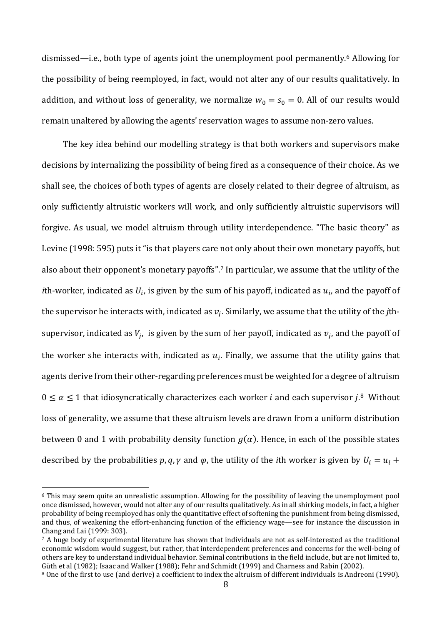dismissed—i.e., both type of agents joint the unemployment pool permanently.<sup>6</sup> Allowing for the possibility of being reemployed, in fact, would not alter any of our results qualitatively. In addition, and without loss of generality, we normalize  $w_0 = s_0 = 0$ . All of our results would remain unaltered by allowing the agents' reservation wages to assume non-zero values.

The key idea behind our modelling strategy is that both workers and supervisors make decisions by internalizing the possibility of being fired as a consequence of their choice. As we shall see, the choices of both types of agents are closely related to their degree of altruism, as only sufficiently altruistic workers will work, and only sufficiently altruistic supervisors will forgive. As usual, we model altruism through utility interdependence. "The basic theory" as Levine (1998: 595) puts it "is that players care not only about their own monetary payoffs, but also about their opponent's monetary payoffs".<sup>7</sup> In particular, we assume that the utility of the *i*th-worker, indicated as  $U_i$ , is given by the sum of his payoff, indicated as  $u_i$ , and the payoff of the supervisor he interacts with, indicated as  $v_j$ . Similarly, we assume that the utility of the *j*thsupervisor, indicated as  $V_j$ , is given by the sum of her payoff, indicated as  $v_j$ , and the payoff of the worker she interacts with, indicated as  $u_i$ . Finally, we assume that the utility gains that agents derive from their other-regarding preferences must be weighted for a degree of altruism  $0 \le \alpha \le 1$  that idiosyncratically characterizes each worker *i* and each supervisor *j*.<sup>8</sup> Without loss of generality, we assume that these altruism levels are drawn from a uniform distribution between 0 and 1 with probability density function  $g(\alpha)$ . Hence, in each of the possible states described by the probabilities  $p$ ,  $q$ ,  $\gamma$  and  $\varphi$ , the utility of the *i*th worker is given by  $U_i = u_i +$ 

<sup>6</sup> This may seem quite an unrealistic assumption. Allowing for the possibility of leaving the unemployment pool once dismissed, however, would not alter any of our results qualitatively. As in all shirking models, in fact, a higher probability of being reemployed has only the quantitative effect of softening the punishment from being dismissed, and thus, of weakening the effort-enhancing function of the efficiency wage—see for instance the discussion in Chang and Lai (1999: 303).

<sup>&</sup>lt;sup>7</sup> A huge body of experimental literature has shown that individuals are not as self-interested as the traditional economic wisdom would suggest, but rather, that interdependent preferences and concerns for the well-being of others are key to understand individual behavior. Seminal contributions in the field include, but are not limited to, Güth et al (1982); Isaac and Walker (1988); Fehr and Schmidt (1999) and Charness and Rabin (2002).

<sup>8</sup> One of the first to use (and derive) a coefficient to index the altruism of different individuals is Andreoni (1990).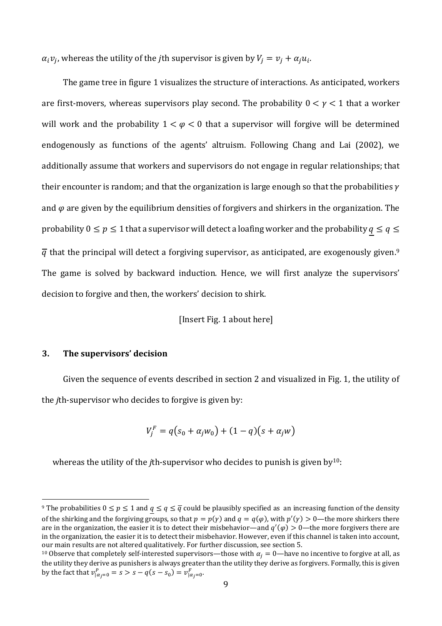$\alpha_i v_j$ , whereas the utility of the *j*th supervisor is given by  $V_j = v_j + \alpha_j u_i$ .

The game tree in figure 1 visualizes the structure of interactions. As anticipated, workers are first-movers, whereas supervisors play second. The probability  $0 < \gamma < 1$  that a worker will work and the probability  $1 < \varphi < 0$  that a supervisor will forgive will be determined endogenously as functions of the agents' altruism. Following Chang and Lai (2002), we additionally assume that workers and supervisors do not engage in regular relationships; that their encounter is random; and that the organization is large enough so that the probabilities  $\gamma$ and  $\varphi$  are given by the equilibrium densities of forgivers and shirkers in the organization. The probability  $0 \le p \le 1$  that a supervisor will detect a loafing worker and the probability  $q \le q \le$  $\overline{q}$  that the principal will detect a forgiving supervisor, as anticipated, are exogenously given.<sup>9</sup> The game is solved by backward induction. Hence, we will first analyze the supervisors' decision to forgive and then, the workers' decision to shirk.

[Insert Fig. 1 about here]

# **3. The supervisors' decision**

Given the sequence of events described in section 2 and visualized in Fig. 1, the utility of the *j*th-supervisor who decides to forgive is given by:

$$
V_j^F = q(s_0 + \alpha_j w_0) + (1 - q)(s + \alpha_j w)
$$

whereas the utility of the *j*th-supervisor who decides to punish is given by<sup>10</sup>:

<sup>&</sup>lt;sup>9</sup> The probabilities  $0 \le p \le 1$  and  $q \le q \le \overline{q}$  could be plausibly specified as an increasing function of the density of the shirking and the forgiving groups, so that  $p = p(y)$  and  $q = q(\varphi)$ , with  $p'(y) > 0$ —the more shirkers there are in the organization, the easier it is to detect their misbehavior—and  $q'(\varphi) > 0$ —the more forgivers there are in the organization, the easier it is to detect their misbehavior. However, even if this channel is taken into account, our main results are not altered qualitatively. For further discussion, see section 5.

<sup>&</sup>lt;sup>10</sup> Observe that completely self-interested supervisors—those with  $\alpha_i = 0$ —have no incentive to forgive at all, as the utility they derive as punishers is always greater than the utility they derive as forgivers. Formally, this is given by the fact that  $v_{|\alpha_j=0}^P = s > s - q(s - s_0) = v_{|\alpha_j=0}^F$ .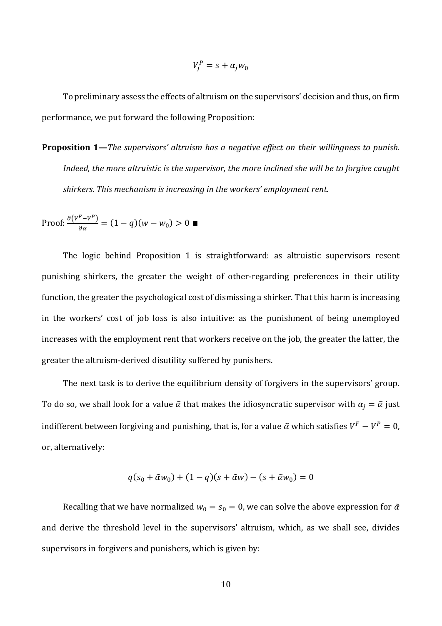$$
V_j^P = s + \alpha_j w_0
$$

To preliminary assess the effects of altruism on the supervisors' decision and thus, on firm performance, we put forward the following Proposition:

**Proposition 1—***The supervisors' altruism has a negative effect on their willingness to punish. Indeed, the more altruistic is the supervisor, the more inclined she will be to forgive caught shirkers. This mechanism is increasing in the workers' employment rent.*

Proof:  $\frac{\partial (V^F - V^P)}{\partial x}$  $\frac{(-\nu)}{\partial \alpha} = (1-q)(w-w_0) > 0$ 

The logic behind Proposition 1 is straightforward: as altruistic supervisors resent punishing shirkers, the greater the weight of other-regarding preferences in their utility function, the greater the psychological cost of dismissing a shirker. That this harm is increasing in the workers' cost of job loss is also intuitive: as the punishment of being unemployed increases with the employment rent that workers receive on the job, the greater the latter, the greater the altruism-derived disutility suffered by punishers.

The next task is to derive the equilibrium density of forgivers in the supervisors' group. To do so, we shall look for a value  $\tilde{\alpha}$  that makes the idiosyncratic supervisor with  $\alpha_j = \tilde{\alpha}$  just indifferent between forgiving and punishing, that is, for a value  $\tilde{\alpha}$  which satisfies  $V^F - V^P = 0$ , or, alternatively:

$$
q(s_0 + \tilde{\alpha}w_0) + (1 - q)(s + \tilde{\alpha}w) - (s + \tilde{\alpha}w_0) = 0
$$

Recalling that we have normalized  $w_0 = s_0 = 0$ , we can solve the above expression for  $\tilde{\alpha}$ and derive the threshold level in the supervisors' altruism, which, as we shall see, divides supervisors in forgivers and punishers, which is given by: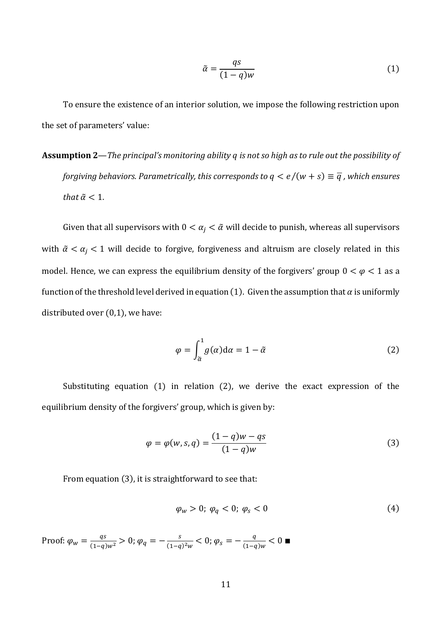$$
\tilde{\alpha} = \frac{qs}{(1-q)w} \tag{1}
$$

To ensure the existence of an interior solution, we impose the following restriction upon the set of parameters' value:

**Assumption 2**—*The principal's monitoring ability is not so high as to rule out the possibility of forgiving behaviors. Parametrically, this corresponds to*  $q \le e/(w + s) \equiv \overline{q}$ *, which ensures that*  $\tilde{\alpha}$  < 1*.* 

Given that all supervisors with  $0 < \alpha_j < \tilde{\alpha}$  will decide to punish, whereas all supervisors with  $\tilde{\alpha} < \alpha_i < 1$  will decide to forgive, forgiveness and altruism are closely related in this model. Hence, we can express the equilibrium density of the forgivers' group  $0 < \varphi < 1$  as a function of the threshold level derived in equation (1). Given the assumption that  $\alpha$  is uniformly distributed over (0,1), we have:

$$
\varphi = \int_{\tilde{\alpha}}^{1} g(\alpha) d\alpha = 1 - \tilde{\alpha}
$$
 (2)

Substituting equation (1) in relation (2), we derive the exact expression of the equilibrium density of the forgivers' group, which is given by:

$$
\varphi = \varphi(w, s, q) = \frac{(1 - q)w - qs}{(1 - q)w}
$$
\n(3)

From equation (3), it is straightforward to see that:

$$
\varphi_w > 0; \varphi_q < 0; \varphi_s < 0 \tag{4}
$$

Proof:  $\varphi_w = \frac{qs}{(1-q)w^2} > 0$ ;  $\varphi_q = -\frac{s}{(1-q)w^2}$  $\frac{s}{(1-q)^2 w} < 0; \varphi_s = -\frac{q}{(1-q)^2}$  $\frac{q}{(1-q)w}$  < 0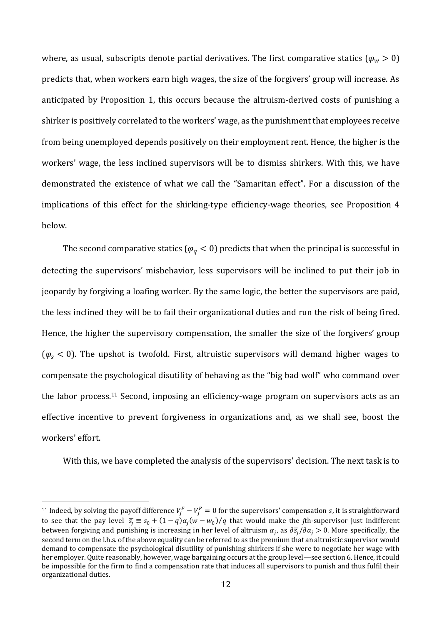where, as usual, subscripts denote partial derivatives. The first comparative statics ( $\varphi_w > 0$ ) predicts that, when workers earn high wages, the size of the forgivers' group will increase. As anticipated by Proposition 1, this occurs because the altruism-derived costs of punishing a shirker is positively correlated to the workers' wage, as the punishment that employees receive from being unemployed depends positively on their employment rent. Hence, the higher is the workers' wage, the less inclined supervisors will be to dismiss shirkers. With this, we have demonstrated the existence of what we call the "Samaritan effect". For a discussion of the implications of this effect for the shirking-type efficiency-wage theories, see Proposition 4 below.

The second comparative statics ( $\varphi_a < 0$ ) predicts that when the principal is successful in detecting the supervisors' misbehavior, less supervisors will be inclined to put their job in jeopardy by forgiving a loafing worker. By the same logic, the better the supervisors are paid, the less inclined they will be to fail their organizational duties and run the risk of being fired. Hence, the higher the supervisory compensation, the smaller the size of the forgivers' group  $(\varphi_{s} < 0)$ . The upshot is twofold. First, altruistic supervisors will demand higher wages to compensate the psychological disutility of behaving as the "big bad wolf" who command over the labor process.<sup>11</sup> Second, imposing an efficiency-wage program on supervisors acts as an effective incentive to prevent forgiveness in organizations and, as we shall see, boost the workers' effort.

With this, we have completed the analysis of the supervisors' decision. The next task is to

<sup>&</sup>lt;sup>11</sup> Indeed, by solving the payoff difference  $V_j^F-V_j^P=0$  for the supervisors' compensation *s*, it is straightforward to see that the pay level  $\bar{s}_j \equiv s_0 + (1-q)\alpha_j(w-w_0)/q$  that would make the *j*th-supervisor just indifferent between forgiving and punishing is increasing in her level of altruism  $\alpha_j$ , as  $\partial s_j/\partial \alpha_j > 0$ . More specifically, the second term on the l.h.s. of the above equality can be referred to as the premium that an altruistic supervisor would demand to compensate the psychological disutility of punishing shirkers if she were to negotiate her wage with her employer. Quite reasonably, however, wage bargaining occurs at the group level—see section 6. Hence, it could be impossible for the firm to find a compensation rate that induces all supervisors to punish and thus fulfil their organizational duties.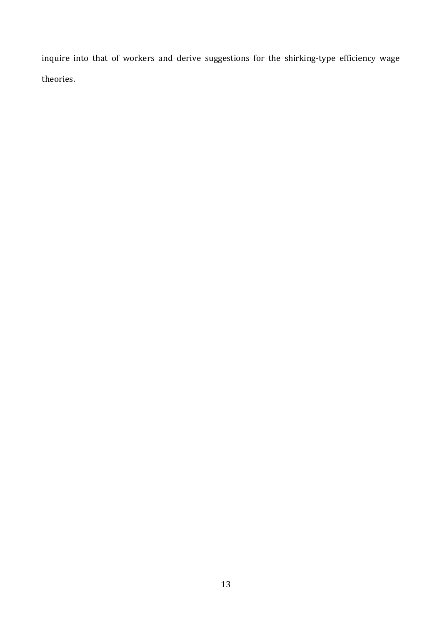inquire into that of workers and derive suggestions for the shirking-type efficiency wage theories.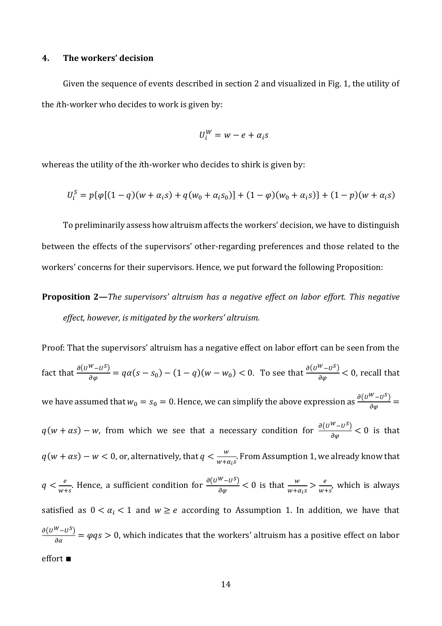#### **4. The workers' decision**

Given the sequence of events described in section 2 and visualized in Fig. 1, the utility of the *i*th-worker who decides to work is given by:

$$
U_i^W = w - e + \alpha_i s
$$

whereas the utility of the *i*th-worker who decides to shirk is given by:

$$
U_i^S = p\{\varphi[(1-q)(w+\alpha_i s) + q(w_0 + \alpha_i s_0)] + (1-\varphi)(w_0 + \alpha_i s)\} + (1-p)(w+\alpha_i s)
$$

To preliminarily assess how altruism affects the workers' decision, we have to distinguish between the effects of the supervisors' other-regarding preferences and those related to the workers' concerns for their supervisors. Hence, we put forward the following Proposition:

# **Proposition 2—***The supervisors' altruism has a negative effect on labor effort. This negative effect, however, is mitigated by the workers' altruism.*

Proof: That the supervisors' altruism has a negative effect on labor effort can be seen from the fact that  $\frac{\partial (U^{W}-U^{S})}{\partial \varphi}=q\alpha(s-s_0)-(1-q)(w-w_0)<0$ . To see that  $\frac{\partial (U^{W}-U^{S})}{\partial \varphi}<0$ , recall that we have assumed that  $w_0 = s_0 = 0$ . Hence, we can simplify the above expression as  $\frac{\partial (U^W - U^S)}{\partial \varphi} =$  $q(w + \alpha s) - w$ , from which we see that a necessary condition for  $\frac{\partial (U^W - U^S)}{\partial \varphi} < 0$  is that  $q(w + \alpha s) - w < 0$ , or, alternatively, that  $q < \frac{w}{w + \alpha}$  $\frac{w}{w + \alpha_i s}$ . From Assumption 1, we already know that  $q < \frac{e}{\cdots}$  $\frac{e}{w+s}$ . Hence, a sufficient condition for  $\frac{\partial (U^W - U^S)}{\partial \varphi} < 0$  is that  $\frac{w}{w+\alpha_i s} > \frac{e}{w+s}$  $\frac{e}{w+s}$ , which is always satisfied as  $0 < \alpha_i < 1$  and  $w \ge e$  according to Assumption 1. In addition, we have that  $\partial(U^W-U^S)$  $\frac{-b}{\partial a} = \varphi qs > 0$ , which indicates that the workers' altruism has a positive effect on labor effort ∎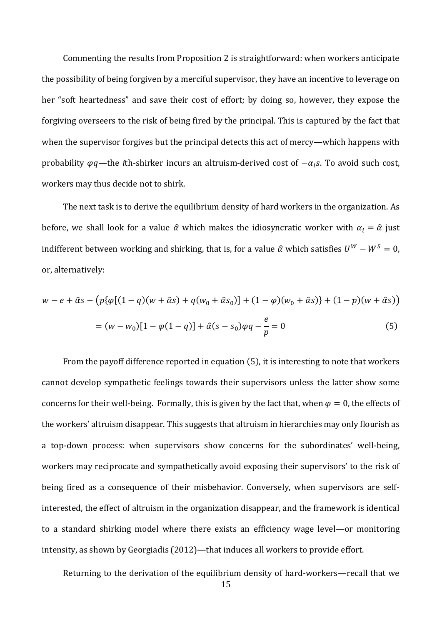Commenting the results from Proposition 2 is straightforward: when workers anticipate the possibility of being forgiven by a merciful supervisor, they have an incentive to leverage on her "soft heartedness" and save their cost of effort; by doing so, however, they expose the forgiving overseers to the risk of being fired by the principal. This is captured by the fact that when the supervisor forgives but the principal detects this act of mercy—which happens with probability  $\varphi q$ —the *i*th-shirker incurs an altruism-derived cost of  $-\alpha_i s$ . To avoid such cost, workers may thus decide not to shirk.

The next task is to derive the equilibrium density of hard workers in the organization. As before, we shall look for a value  $\hat{\alpha}$  which makes the idiosyncratic worker with  $\alpha_i = \hat{\alpha}$  just indifferent between working and shirking, that is, for a value  $\hat{\alpha}$  which satisfies  $U^W - W^S = 0$ , or, alternatively:

$$
w - e + \hat{\alpha}s - (p\{\varphi[(1-q)(w+\hat{\alpha}s) + q(w_0 + \hat{\alpha}s_0)] + (1-\varphi)(w_0 + \hat{\alpha}s)\} + (1-p)(w+\hat{\alpha}s))
$$
  
= 
$$
(w - w_0)[1 - \varphi(1-q)] + \hat{\alpha}(s - s_0)\varphi q - \frac{e}{p} = 0
$$
 (5)

From the payoff difference reported in equation (5), it is interesting to note that workers cannot develop sympathetic feelings towards their supervisors unless the latter show some concerns for their well-being. Formally, this is given by the fact that, when  $\varphi = 0$ , the effects of the workers' altruism disappear. This suggests that altruism in hierarchies may only flourish as a top-down process: when supervisors show concerns for the subordinates' well-being, workers may reciprocate and sympathetically avoid exposing their supervisors' to the risk of being fired as a consequence of their misbehavior. Conversely, when supervisors are selfinterested, the effect of altruism in the organization disappear, and the framework is identical to a standard shirking model where there exists an efficiency wage level—or monitoring intensity, as shown by Georgiadis (2012)—that induces all workers to provide effort.

Returning to the derivation of the equilibrium density of hard-workers—recall that we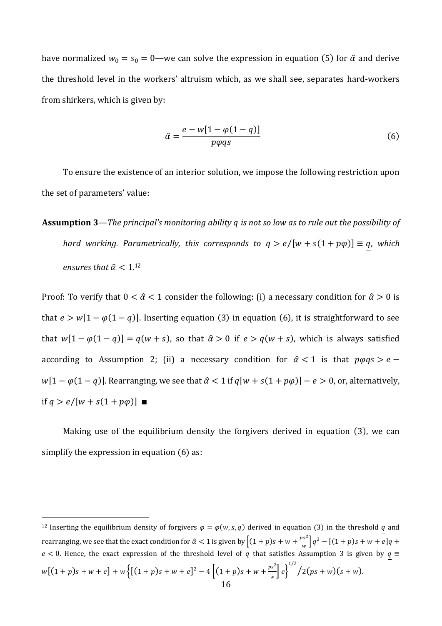have normalized  $w_0 = s_0 = 0$ —we can solve the expression in equation (5) for  $\hat{\alpha}$  and derive the threshold level in the workers' altruism which, as we shall see, separates hard-workers from shirkers, which is given by:

$$
\hat{\alpha} = \frac{e - w[1 - \varphi(1 - q)]}{p\varphi qs} \tag{6}
$$

To ensure the existence of an interior solution, we impose the following restriction upon the set of parameters' value:

**Assumption 3**—*The principal's monitoring ability is not so low as to rule out the possibility of hard working. Parametrically, this corresponds to*  $q > e/[w + s(1 + p\varphi)] \equiv q$ *, which* ensures that  $\hat{\alpha} < 1.12$ 

Proof: To verify that  $0 < \hat{\alpha} < 1$  consider the following: (i) a necessary condition for  $\hat{\alpha} > 0$  is that  $e > w[1 - \varphi(1 - q)]$ . Inserting equation (3) in equation (6), it is straightforward to see that  $w[1 - \varphi(1 - q)] = q(w + s)$ , so that  $\hat{\alpha} > 0$  if  $e > q(w + s)$ , which is always satisfied according to Assumption 2; (ii) a necessary condition for  $\hat{\alpha} < 1$  is that  $p\varphi qs > e$  $w[1 - \varphi(1 - q)]$ . Rearranging, we see that  $\hat{\alpha} < 1$  if  $q[w + s(1 + p\varphi)] - e > 0$ , or, alternatively, if  $q > e/[w + s(1 + p\varphi)]$  ■

Making use of the equilibrium density the forgivers derived in equation (3), we can simplify the expression in equation (6) as:

<sup>&</sup>lt;sup>12</sup> Inserting the equilibrium density of forgivers  $\varphi = \varphi(w, s, q)$  derived in equation (3) in the threshold q and rearranging, we see that the exact condition for  $\hat{\alpha} < 1$  is given by  $\left[ (1 + p)s + w + \frac{ps^2}{w} \right]$  $\int_{w}^{\infty} q^2 - [(1+p)s + w + e]q +$  $e < 0$ . Hence, the exact expression of the threshold level of q that satisfies Assumption 3 is given by  $q \equiv$  $w[(1+p)s+w+e]+w\{[(1+p)s+w+e]^2-4\left[(1+p)s+w+\frac{ps^2}{2}\right]$  $\int_{w}^{\frac{3s^{2}}{2}} e^{3} \Big|^{1/2} / 2(ps+w)(s+w).$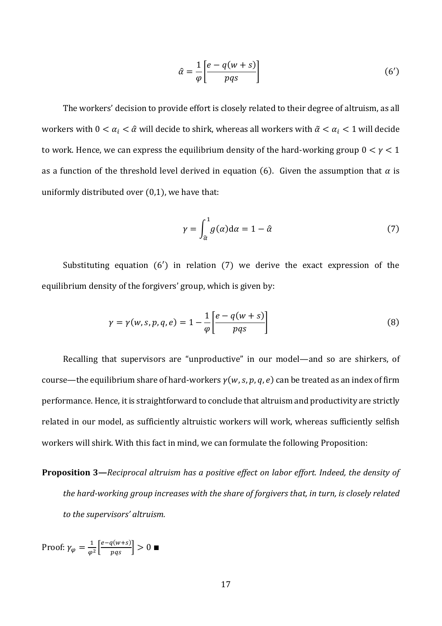$$
\hat{\alpha} = \frac{1}{\varphi} \left[ \frac{e - q(w + s)}{pqs} \right] \tag{6'}
$$

The workers' decision to provide effort is closely related to their degree of altruism, as all workers with  $0 < \alpha_i < \hat{\alpha}$  will decide to shirk, whereas all workers with  $\tilde{\alpha} < \alpha_i < 1$  will decide to work. Hence, we can express the equilibrium density of the hard-working group  $0 < y < 1$ as a function of the threshold level derived in equation (6). Given the assumption that  $\alpha$  is uniformly distributed over (0,1), we have that:

$$
\gamma = \int_{\hat{\alpha}}^1 g(\alpha) d\alpha = 1 - \hat{\alpha} \tag{7}
$$

Substituting equation (6′) in relation (7) we derive the exact expression of the equilibrium density of the forgivers' group, which is given by:

$$
\gamma = \gamma(w, s, p, q, e) = 1 - \frac{1}{\varphi} \left[ \frac{e - q(w + s)}{pqs} \right]
$$
\n(8)

Recalling that supervisors are "unproductive" in our model—and so are shirkers, of course—the equilibrium share of hard-workers  $y(w, s, p, q, e)$  can be treated as an index of firm performance. Hence, it is straightforward to conclude that altruism and productivity are strictly related in our model, as sufficiently altruistic workers will work, whereas sufficiently selfish workers will shirk. With this fact in mind, we can formulate the following Proposition:

**Proposition 3—***Reciprocal altruism has a positive effect on labor effort. Indeed, the density of the hard-working group increases with the share of forgivers that, in turn, is closely related to the supervisors' altruism.* 

Proof:  $\gamma_{\varphi} = \frac{1}{\varphi}$  $\frac{1}{\varphi^2} \left[ \frac{e - q(w+s)}{pqs} \right] > 0$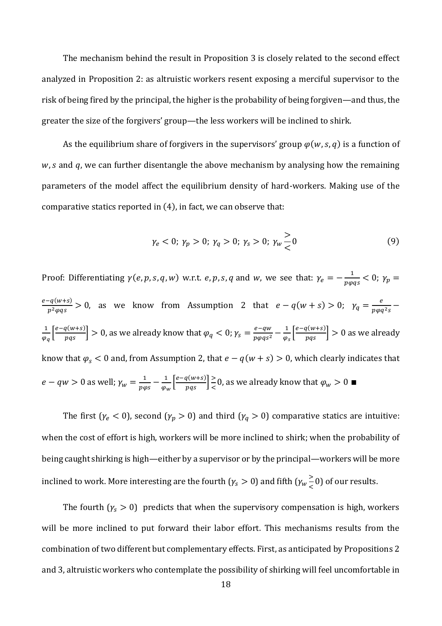The mechanism behind the result in Proposition 3 is closely related to the second effect analyzed in Proposition 2: as altruistic workers resent exposing a merciful supervisor to the risk of being fired by the principal, the higher is the probability of being forgiven—and thus, the greater the size of the forgivers' group—the less workers will be inclined to shirk.

As the equilibrium share of forgivers in the supervisors' group  $\varphi(w, s, q)$  is a function of  $w$ , s and  $q$ , we can further disentangle the above mechanism by analysing how the remaining parameters of the model affect the equilibrium density of hard-workers. Making use of the comparative statics reported in (4), in fact, we can observe that:

$$
\gamma_e < 0; \ \gamma_p > 0; \ \gamma_q > 0; \ \gamma_s > 0; \ \gamma_w \frac{1}{\zeta} 0 \tag{9}
$$

Proof: Differentiating  $\gamma(e, p, s, q, w)$  w.r.t. e, p, s, q and w, we see that:  $\gamma_e = -\frac{1}{n\omega_e}$  $\frac{1}{p \varphi q s}$  < 0;  $\gamma_p$  =  $e-q(w+s)$  $\frac{q(w+s)}{p^2 \varphi q s} > 0$ , as we know from Assumption 2 that  $e - q(w+s) > 0$ ;  $\gamma_q = \frac{e}{p \varphi q s}$  $\frac{\epsilon}{p\varphi q^2s}$  – 1  $\frac{1}{\varphi_q}\Big[\frac{e-q(w+s)}{pqs}\Big]>0$ , as we already know that  $\varphi_q < 0$ ;  $\gamma_s = \frac{e-qw}{p\varphi qs^2}$  $\frac{e-qw}{p\varphi qs^2} - \frac{1}{\varphi}$  $\frac{1}{\varphi_s} \left[ \frac{e - q(w+s)}{pqs} \right] > 0$  as we already know that  $\varphi_s$  < 0 and, from Assumption 2, that  $e - q(w + s) > 0$ , which clearly indicates that  $e - qw > 0$  as well;  $\gamma_w = \frac{1}{nw}$  $\frac{1}{p\varphi s} - \frac{1}{\varphi_0}$  $\frac{1}{\varphi_w} \left[ \frac{e - q(w+s)}{pqs} \right] \ge$  $\frac{1}{\epsilon}$ 0, as we already know that  $\varphi_w > 0$ 

The first  $(\gamma_e < 0)$ , second  $(\gamma_p > 0)$  and third  $(\gamma_q > 0)$  comparative statics are intuitive: when the cost of effort is high, workers will be more inclined to shirk; when the probability of being caught shirking is high—either by a supervisor or by the principal—workers will be more inclined to work. More interesting are the fourth ( $\gamma_s > 0$ ) and fifth ( $\gamma_w \geq$  $\leq$  0) of our results.

The fourth  $(y_s > 0)$  predicts that when the supervisory compensation is high, workers will be more inclined to put forward their labor effort. This mechanisms results from the combination of two different but complementary effects. First, as anticipated by Propositions 2 and 3, altruistic workers who contemplate the possibility of shirking will feel uncomfortable in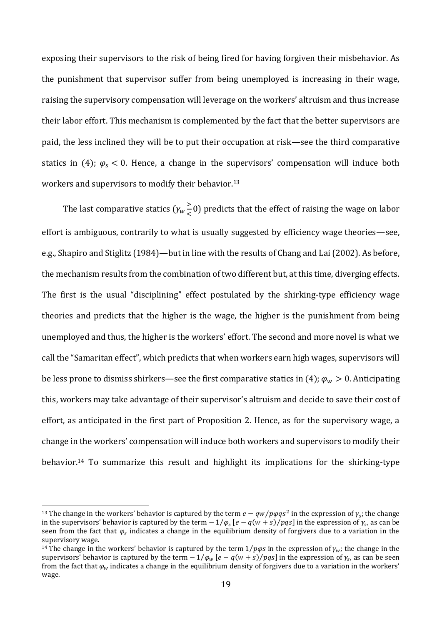exposing their supervisors to the risk of being fired for having forgiven their misbehavior. As the punishment that supervisor suffer from being unemployed is increasing in their wage, raising the supervisory compensation will leverage on the workers' altruism and thus increase their labor effort. This mechanism is complemented by the fact that the better supervisors are paid, the less inclined they will be to put their occupation at risk—see the third comparative statics in (4);  $\varphi_s$  < 0. Hence, a change in the supervisors' compensation will induce both workers and supervisors to modify their behavior.<sup>13</sup>

The last comparative statics  $(\gamma_w \geq$  $\leq$  0) predicts that the effect of raising the wage on labor effort is ambiguous, contrarily to what is usually suggested by efficiency wage theories—see, e.g., Shapiro and Stiglitz (1984)—but in line with the results of Chang and Lai (2002). As before, the mechanism results from the combination of two different but, at this time, diverging effects. The first is the usual "disciplining" effect postulated by the shirking-type efficiency wage theories and predicts that the higher is the wage, the higher is the punishment from being unemployed and thus, the higher is the workers' effort. The second and more novel is what we call the "Samaritan effect", which predicts that when workers earn high wages, supervisors will be less prone to dismiss shirkers—see the first comparative statics in (4);  $\varphi_w > 0$ . Anticipating this, workers may take advantage of their supervisor's altruism and decide to save their cost of effort, as anticipated in the first part of Proposition 2. Hence, as for the supervisory wage, a change in the workers' compensation will induce both workers and supervisors to modify their behavior.<sup>14</sup> To summarize this result and highlight its implications for the shirking-type

<sup>&</sup>lt;sup>13</sup> The change in the workers' behavior is captured by the term  $e-qw/pqqs^2$  in the expression of  $\gamma_s$ ; the change in the supervisors' behavior is captured by the term  $-1/\varphi_s$  [ $e-q(w+s)/pqs$ ] in the expression of  $\gamma_s$ , as can be seen from the fact that  $\varphi_s$  indicates a change in the equilibrium density of forgivers due to a variation in the supervisory wage.

<sup>&</sup>lt;sup>14</sup> The change in the workers' behavior is captured by the term  $1/p\varphi s$  in the expression of  $\gamma_w$ ; the change in the supervisors' behavior is captured by the term  $-1/\varphi_w$  [e  $-q(w+s)/pqs$ ] in the expression of  $\gamma_s$ , as can be seen from the fact that  $\varphi_w$  indicates a change in the equilibrium density of forgivers due to a variation in the workers' wage.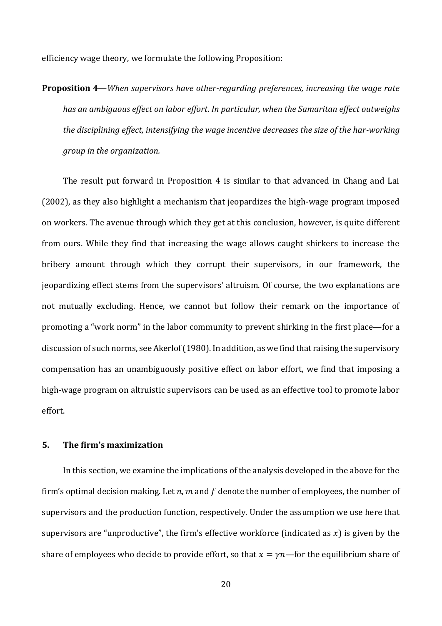efficiency wage theory, we formulate the following Proposition:

**Proposition 4**—*When supervisors have other-regarding preferences, increasing the wage rate has an ambiguous effect on labor effort. In particular, when the Samaritan effect outweighs the disciplining effect, intensifying the wage incentive decreases the size of the har-working group in the organization.* 

The result put forward in Proposition 4 is similar to that advanced in Chang and Lai (2002), as they also highlight a mechanism that jeopardizes the high-wage program imposed on workers. The avenue through which they get at this conclusion, however, is quite different from ours. While they find that increasing the wage allows caught shirkers to increase the bribery amount through which they corrupt their supervisors, in our framework, the jeopardizing effect stems from the supervisors' altruism. Of course, the two explanations are not mutually excluding. Hence, we cannot but follow their remark on the importance of promoting a "work norm" in the labor community to prevent shirking in the first place—for a discussion of such norms, see Akerlof (1980). In addition, as we find that raising the supervisory compensation has an unambiguously positive effect on labor effort, we find that imposing a high-wage program on altruistic supervisors can be used as an effective tool to promote labor effort.

# **5. The firm's maximization**

In this section, we examine the implications of the analysis developed in the above for the firm's optimal decision making. Let  $n$ ,  $m$  and  $f$  denote the number of employees, the number of supervisors and the production function, respectively. Under the assumption we use here that supervisors are "unproductive", the firm's effective workforce (indicated as  $x$ ) is given by the share of employees who decide to provide effort, so that  $x = \gamma n$ —for the equilibrium share of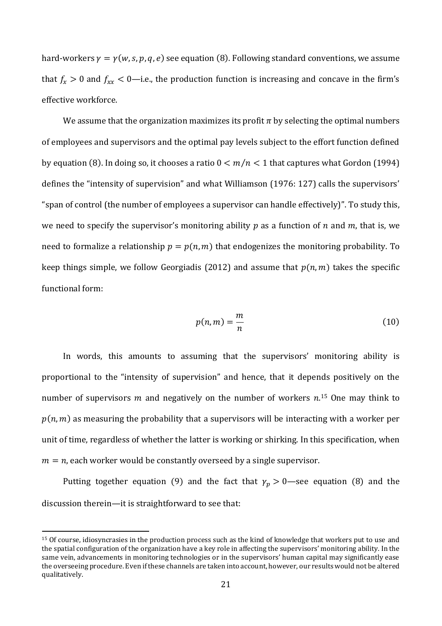hard-workers  $\gamma = \gamma(w, s, p, q, e)$  see equation (8). Following standard conventions, we assume that  $f_x > 0$  and  $f_{xx} < 0$ —i.e., the production function is increasing and concave in the firm's effective workforce.

We assume that the organization maximizes its profit  $\pi$  by selecting the optimal numbers of employees and supervisors and the optimal pay levels subject to the effort function defined by equation (8). In doing so, it chooses a ratio  $0 < m/n < 1$  that captures what Gordon (1994) defines the "intensity of supervision" and what Williamson (1976: 127) calls the supervisors' "span of control (the number of employees a supervisor can handle effectively)". To study this, we need to specify the supervisor's monitoring ability p as a function of  $n$  and  $m$ , that is, we need to formalize a relationship  $p = p(n, m)$  that endogenizes the monitoring probability. To keep things simple, we follow Georgiadis (2012) and assume that  $p(n, m)$  takes the specific functional form:

$$
p(n,m) = \frac{m}{n} \tag{10}
$$

In words, this amounts to assuming that the supervisors' monitoring ability is proportional to the "intensity of supervision" and hence, that it depends positively on the number of supervisors m and negatively on the number of workers  $n^{15}$  One may think to  $p(n, m)$  as measuring the probability that a supervisors will be interacting with a worker per unit of time, regardless of whether the latter is working or shirking. In this specification, when  $m = n$ , each worker would be constantly overseed by a single supervisor.

Putting together equation (9) and the fact that  $\gamma_p > 0$ —see equation (8) and the discussion therein—it is straightforward to see that:

<sup>15</sup> Of course, idiosyncrasies in the production process such as the kind of knowledge that workers put to use and the spatial configuration of the organization have a key role in affecting the supervisors' monitoring ability. In the same vein, advancements in monitoring technologies or in the supervisors' human capital may significantly ease the overseeing procedure. Even if these channels are taken into account, however, our results would not be altered qualitatively.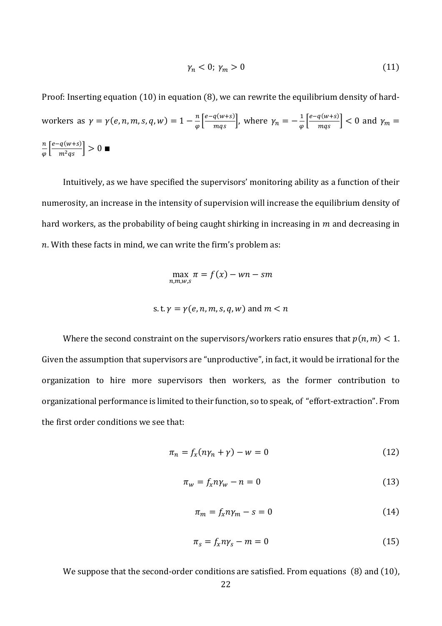$$
\gamma_n < 0; \ \gamma_m > 0 \tag{11}
$$

Proof: Inserting equation (10) in equation (8), we can rewrite the equilibrium density of hardworkers as  $\gamma = \gamma(e, n, m, s, q, w) = 1 - \frac{n}{a}$  $\frac{n}{\varphi} \left[ \frac{e - q(w+s)}{mqs} \right]$ , where  $\gamma_n = -\frac{1}{\varphi}$  $\frac{1}{\varphi} \left[ \frac{e - q(w+s)}{mqs} \right] < 0$  and  $\gamma_m =$  $\boldsymbol{n}$  $\frac{n}{\varphi} \left[ \frac{e - q(w+s)}{m^2qs} \right] > 0$ 

Intuitively, as we have specified the supervisors' monitoring ability as a function of their numerosity, an increase in the intensity of supervision will increase the equilibrium density of hard workers, as the probability of being caught shirking in increasing in  $m$  and decreasing in  $n.$  With these facts in mind, we can write the firm's problem as:

$$
\max_{n,m,w,s} \pi = f(x) - wn - sm
$$

s. t. 
$$
\gamma = \gamma(e, n, m, s, q, w)
$$
 and  $m < n$ 

Where the second constraint on the supervisors/workers ratio ensures that  $p(n, m) < 1$ . Given the assumption that supervisors are "unproductive", in fact, it would be irrational for the organization to hire more supervisors then workers, as the former contribution to organizational performance is limited to their function, so to speak, of "effort-extraction". From the first order conditions we see that:

$$
\pi_n = f_x(n\gamma_n + \gamma) - w = 0 \tag{12}
$$

$$
\pi_w = f_x n \gamma_w - n = 0 \tag{13}
$$

$$
\pi_m = f_x n \gamma_m - s = 0 \tag{14}
$$

$$
\pi_s = f_x n \gamma_s - m = 0 \tag{15}
$$

We suppose that the second-order conditions are satisfied. From equations (8) and (10),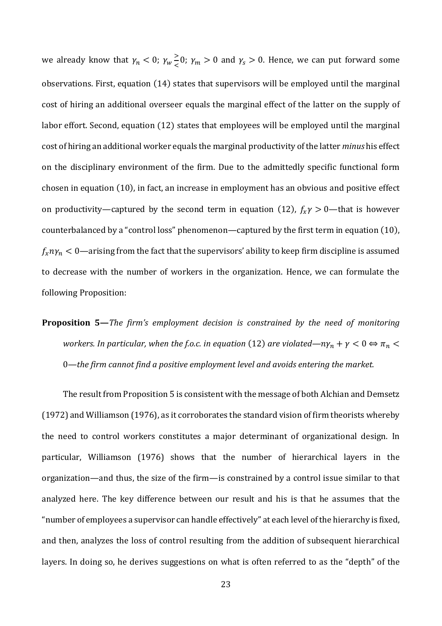we already know that  $\gamma_n < 0$ ;  $\gamma_w \geq$  $\frac{1}{2}$ ,  $\gamma_m > 0$  and  $\gamma_s > 0$ . Hence, we can put forward some observations. First, equation (14) states that supervisors will be employed until the marginal cost of hiring an additional overseer equals the marginal effect of the latter on the supply of labor effort. Second, equation (12) states that employees will be employed until the marginal cost of hiring an additional worker equals the marginal productivity of the latter *minus* his effect on the disciplinary environment of the firm. Due to the admittedly specific functional form chosen in equation (10), in fact, an increase in employment has an obvious and positive effect on productivity—captured by the second term in equation (12),  $f_x \gamma > 0$ —that is however counterbalanced by a "control loss" phenomenon—captured by the first term in equation (10),  $f_x n y_n < 0$ —arising from the fact that the supervisors' ability to keep firm discipline is assumed to decrease with the number of workers in the organization. Hence, we can formulate the following Proposition:

**Proposition 5—***The firm's employment decision is constrained by the need of monitoring workers. In particular, when the f.o.c. in equation (12) are violated—* $n\gamma_n + \gamma < 0 \Leftrightarrow \pi_n <$ 0*—the firm cannot find a positive employment level and avoids entering the market.*

The result from Proposition 5 is consistent with the message of both Alchian and Demsetz (1972) and Williamson (1976), as it corroborates the standard vision of firm theorists whereby the need to control workers constitutes a major determinant of organizational design. In particular, Williamson (1976) shows that the number of hierarchical layers in the organization—and thus, the size of the firm—is constrained by a control issue similar to that analyzed here. The key difference between our result and his is that he assumes that the "number of employees a supervisor can handle effectively" at each level of the hierarchy is fixed, and then, analyzes the loss of control resulting from the addition of subsequent hierarchical layers. In doing so, he derives suggestions on what is often referred to as the "depth" of the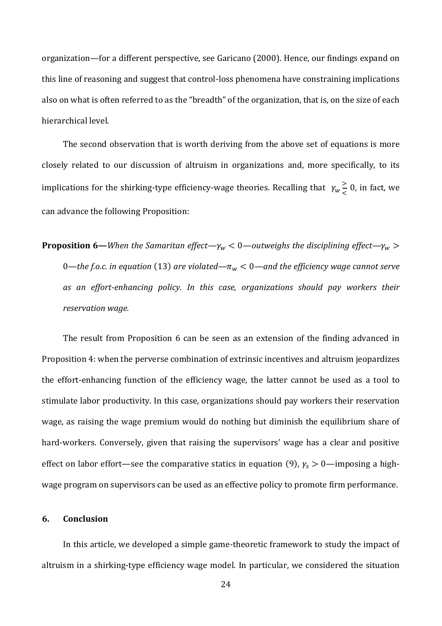organization—for a different perspective, see Garicano (2000). Hence, our findings expand on this line of reasoning and suggest that control-loss phenomena have constraining implications also on what is often referred to as the "breadth" of the organization, that is, on the size of each hierarchical level.

The second observation that is worth deriving from the above set of equations is more closely related to our discussion of altruism in organizations and, more specifically, to its implications for the shirking-type efficiency-wage theories. Recalling that  $\gamma_w \geq$  $\frac{2}{5}$  0, in fact, we can advance the following Proposition:

**Proposition 6**—*When the Samaritan effect*— $\gamma_w$  < 0—*outweighs the disciplining effect*— $\gamma_w$  > 0—*the f.o.c. in equation* (13) are violated— $\pi_w$  < 0—and the efficiency wage cannot serve *as an effort-enhancing policy. In this case, organizations should pay workers their reservation wage.*

The result from Proposition 6 can be seen as an extension of the finding advanced in Proposition 4: when the perverse combination of extrinsic incentives and altruism jeopardizes the effort-enhancing function of the efficiency wage, the latter cannot be used as a tool to stimulate labor productivity. In this case, organizations should pay workers their reservation wage, as raising the wage premium would do nothing but diminish the equilibrium share of hard-workers. Conversely, given that raising the supervisors' wage has a clear and positive effect on labor effort—see the comparative statics in equation (9),  $\gamma_s > 0$ —imposing a highwage program on supervisors can be used as an effective policy to promote firm performance.

# **6. Conclusion**

In this article, we developed a simple game-theoretic framework to study the impact of altruism in a shirking-type efficiency wage model. In particular, we considered the situation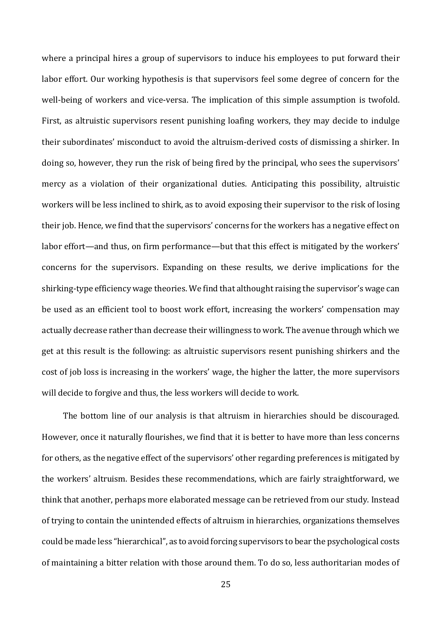where a principal hires a group of supervisors to induce his employees to put forward their labor effort. Our working hypothesis is that supervisors feel some degree of concern for the well-being of workers and vice-versa. The implication of this simple assumption is twofold. First, as altruistic supervisors resent punishing loafing workers, they may decide to indulge their subordinates' misconduct to avoid the altruism-derived costs of dismissing a shirker. In doing so, however, they run the risk of being fired by the principal, who sees the supervisors' mercy as a violation of their organizational duties. Anticipating this possibility, altruistic workers will be less inclined to shirk, as to avoid exposing their supervisor to the risk of losing their job. Hence, we find that the supervisors' concerns for the workers has a negative effect on labor effort—and thus, on firm performance—but that this effect is mitigated by the workers' concerns for the supervisors. Expanding on these results, we derive implications for the shirking-type efficiency wage theories. We find that althought raising the supervisor's wage can be used as an efficient tool to boost work effort, increasing the workers' compensation may actually decrease rather than decrease their willingness to work. The avenue through which we get at this result is the following: as altruistic supervisors resent punishing shirkers and the cost of job loss is increasing in the workers' wage, the higher the latter, the more supervisors will decide to forgive and thus, the less workers will decide to work.

The bottom line of our analysis is that altruism in hierarchies should be discouraged. However, once it naturally flourishes, we find that it is better to have more than less concerns for others, as the negative effect of the supervisors' other regarding preferences is mitigated by the workers' altruism. Besides these recommendations, which are fairly straightforward, we think that another, perhaps more elaborated message can be retrieved from our study. Instead of trying to contain the unintended effects of altruism in hierarchies, organizations themselves could be made less "hierarchical", as to avoid forcing supervisors to bear the psychological costs of maintaining a bitter relation with those around them. To do so, less authoritarian modes of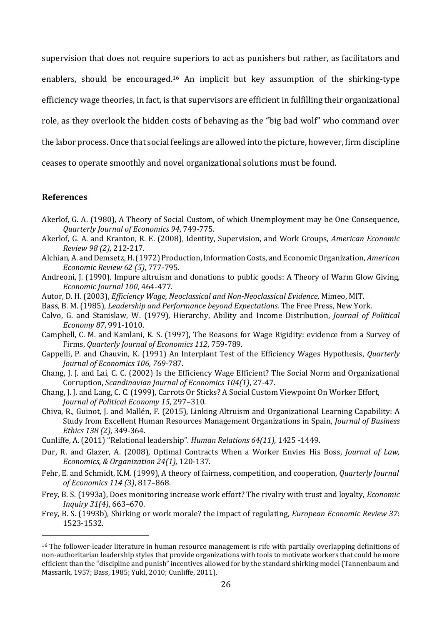supervision that does not require superiors to act as punishers but rather, as facilitators and enablers, should be encouraged.<sup>16</sup> An implicit but key assumption of the shirking-type efficiency wage theories, in fact, is that supervisors are efficient in fulfilling their organizational role, as they overlook the hidden costs of behaving as the "big bad wolf" who command over the labor process. Once that social feelings are allowed into the picture, however, firm discipline ceases to operate smoothly and novel organizational solutions must be found.

#### **References**

- Akerlof, G. A. (1980), A Theory of Social Custom, of which Unemployment may be One Consequence, *Quarterly Journal of Economics 94*, 749-775.
- Akerlof, G. A. and Kranton, R. E. (2008), Identity, Supervision, and Work Groups, *American Economic Review 98 (2)*, 212-217.
- Alchian, A. and Demsetz, H. (1972) Production, Information Costs, and Economic Organization, *American Economic Review 62 (5)*, 777-795.
- Andreoni, J. (1990). Impure altruism and donations to public goods: A Theory of Warm Glow Giving, *Economic Journal 100*, 464-477.
- Autor, D. H. (2003), *Efficiency Wage, Neoclassical and Non-Neoclassical Evidence*, Mimeo, MIT.
- Bass, B. M. (1985), *Leadership and Performance beyond Expectations*. The Free Press, New York.
- Calvo, G. and Stanislaw, W. (1979), Hierarchy, Ability and Income Distribution, *Journal of Political Economy 87*, 991-1010.
- Campbell, C. M. and Kamlani, K. S. (1997), The Reasons for Wage Rigidity: evidence from a Survey of Firms, *Quarterly Journal of Economics 112*, 759-789.
- Cappelli, P. and Chauvin, K. (1991) An Interplant Test of the Efficiency Wages Hypothesis, *Quarterly Journal of Economics 106, 769*-787.
- Chang, J. J. and Lai, C. C. (2002) Is the Efficiency Wage Efficient? The Social Norm and Organizational Corruption, *Scandinavian Journal of Economics 104(1)*, 27-47.
- Chang, J. J. and Lang, C. C. (1999), Carrots Or Sticks? A Social Custom Viewpoint On Worker Effort, *Journal of Political Economy 15*, 297–310.
- Chiva, R., Guinot, J. and Mallén, F. (2015), Linking Altruism and Organizational Learning Capability: A Study from Excellent Human Resources Management Organizations in Spain, *Journal of Business Ethics 138 (2)*, 349-364.
- Cunliffe, A. (2011) "Relational leadership". *Human Relations 64(11),* 1425 -1449.
- Dur, R. and Glazer, A. (2008), Optimal Contracts When a Worker Envies His Boss, *Journal of Law, Economics, & Organization 24(1)*, 120-137.
- Fehr, E. and Schmidt, K.M. (1999), A theory of fairness, competition, and cooperation, *Quarterly Journal of Economics 114 (3)*, 817–868.
- Frey, B. S. (1993a), Does monitoring increase work effort? The rivalry with trust and loyalty, *Economic Inquiry 31(4)*, 663–670.
- Frey, B. S. (1993b), Shirking or work morale? the impact of regulating, *European Economic Review 37*: 1523-1532.

<sup>&</sup>lt;sup>16</sup> The follower-leader literature in human resource management is rife with partially overlapping definitions of non-authoritarian leadership styles that provide organizations with tools to motivate workers that could be more efficient than the "discipline and punish" incentives allowed for by the standard shirking model (Tannenbaum and Massarik, 1957; Bass, 1985; Yukl, 2010; Cunliffe, 2011).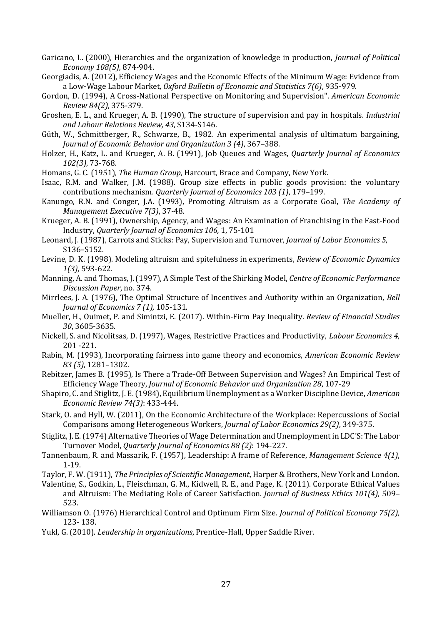- Garicano, L. (2000), Hierarchies and the organization of knowledge in production, *Journal of Political Economy 108(5),* 874-904.
- Georgiadis, A. (2012), Efficiency Wages and the Economic Effects of the Minimum Wage: Evidence from a Low‐Wage Labour Market, *Oxford Bulletin of Economic and Statistics 7(6)*, 935-979.
- Gordon, D. (1994), A Cross-National Perspective on Monitoring and Supervision". *American Economic Review 84(2)*, 375-379.
- Groshen, E. L., and Krueger, A. B. (1990), The structure of supervision and pay in hospitals. *Industrial and Labour Relations Review, 43*, S134-S146.
- Güth, W., Schmittberger, R., Schwarze, B., 1982. An experimental analysis of ultimatum bargaining, *Journal of Economic Behavior and Organization 3 (4)*, 367–388.
- Holzer, H., Katz, L. and Krueger, A. B. (1991), Job Queues and Wages, *Quarterly Journal of Economics 102(3)*, 73-768.
- Homans, G. C. (1951), *The Human Group*, Harcourt, Brace and Company, New York.

Isaac, R.M. and Walker, J.M. (1988). Group size effects in public goods provision: the voluntary contributions mechanism. *Quarterly Journal of Economics 103 (1)*, 179–199.

Kanungo, R.N. and Conger, J.A. (1993), Promoting Altruism as a Corporate Goal, *The Academy of Management Executive 7(3)*, 37-48.

Krueger, A. B. (1991), Ownership, Agency, and Wages: An Examination of Franchising in the Fast-Food Industry, *Quarterly Journal of Economics 106,* 1, 75-101

- Leonard, J. (1987), Carrots and Sticks: Pay, Supervision and Turnover, *Journal of Labor Economics 5*, S136–S152.
- Levine, D. K. (1998). Modeling altruism and spitefulness in experiments, *Review of Economic Dynamics 1(3)*, 593-622.
- Manning, A. and Thomas, J. (1997), A Simple Test of the Shirking Model, *Centre of Economic Performance Discussion Paper*, no. 374.
- Mirrlees, J. A. (1976), The Optimal Structure of Incentives and Authority within an Organization, *Bell Journal of Economics 7 (1),* 105-131.
- Mueller, H., Ouimet, P. and Simintzi, E. (2017). Within-Firm Pay Inequality. *Review of Financial Studies 30*, 3605-3635.
- Nickell, S. and Nicolitsas, D. (1997), Wages, Restrictive Practices and Productivity, *Labour Economics 4*, 201 -221.
- Rabin, M. (1993), Incorporating fairness into game theory and economics, *American Economic Review 83 (5)*, 1281–1302.
- Rebitzer, James B. (1995), Is There a Trade-Off Between Supervision and Wages? An Empirical Test of Efficiency Wage Theory, *Journal of Economic Behavior and Organization 28*, 107-29
- Shapiro, C. and Stiglitz, J. E. (1984), Equilibrium Unemployment as a Worker Discipline Device, *American Economic Review 74(3)*: 433-444.
- Stark, O. and Hyll, W. (2011), On the Economic Architecture of the Workplace: Repercussions of Social Comparisons among Heterogeneous Workers, *Journal of Labor Economics 29(2)*, 349-375.
- Stiglitz, J. E. (1974) Alternative Theories of Wage Determination and Unemployment in LDC'S: The Labor Turnover Model, *Quarterly Journal of Economics 88 (2)*: 194-227.
- Tannenbaum, R. and Massarik, F. (1957), Leadership: A frame of Reference, *Management Science 4(1)*, 1-19.
- Taylor, F. W. (1911), *The Principles of Scientific Management*, Harper & Brothers, New York and London.
- Valentine, S., Godkin, L., Fleischman, G. M., Kidwell, R. E., and Page, K. (2011). Corporate Ethical Values and Altruism: The Mediating Role of Career Satisfaction. *Journal of Business Ethics 101(4)*, 509– 523.
- Williamson O. (1976) Hierarchical Control and Optimum Firm Size. *Journal of Political Economy 75(2)*, 123- 138.
- Yukl, G. (2010). *Leadership in organizations*, Prentice-Hall, Upper Saddle River.